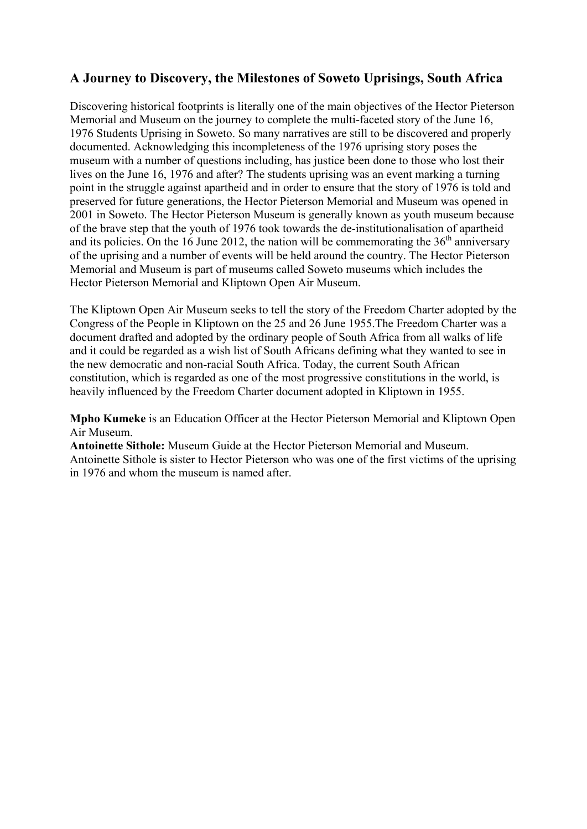## **A Journey to Discovery, the Milestones of Soweto Uprisings, South Africa**

Discovering historical footprints is literally one of the main objectives of the Hector Pieterson Memorial and Museum on the journey to complete the multi-faceted story of the June 16, 1976 Students Uprising in Soweto. So many narratives are still to be discovered and properly documented. Acknowledging this incompleteness of the 1976 uprising story poses the museum with a number of questions including, has justice been done to those who lost their lives on the June 16, 1976 and after? The students uprising was an event marking a turning point in the struggle against apartheid and in order to ensure that the story of 1976 is told and preserved for future generations, the Hector Pieterson Memorial and Museum was opened in 2001 in Soweto. The Hector Pieterson Museum is generally known as youth museum because of the brave step that the youth of 1976 took towards the de-institutionalisation of apartheid and its policies. On the 16 June 2012, the nation will be commemorating the  $36<sup>th</sup>$  anniversary of the uprising and a number of events will be held around the country. The Hector Pieterson Memorial and Museum is part of museums called Soweto museums which includes the Hector Pieterson Memorial and Kliptown Open Air Museum.

The Kliptown Open Air Museum seeks to tell the story of the Freedom Charter adopted by the Congress of the People in Kliptown on the 25 and 26 June 1955.The Freedom Charter was a document drafted and adopted by the ordinary people of South Africa from all walks of life and it could be regarded as a wish list of South Africans defining what they wanted to see in the new democratic and non-racial South Africa. Today, the current South African constitution, which is regarded as one of the most progressive constitutions in the world, is heavily influenced by the Freedom Charter document adopted in Kliptown in 1955.

**Mpho Kumeke** is an Education Officer at the Hector Pieterson Memorial and Kliptown Open Air Museum.

**Antoinette Sithole:** Museum Guide at the Hector Pieterson Memorial and Museum. Antoinette Sithole is sister to Hector Pieterson who was one of the first victims of the uprising in 1976 and whom the museum is named after.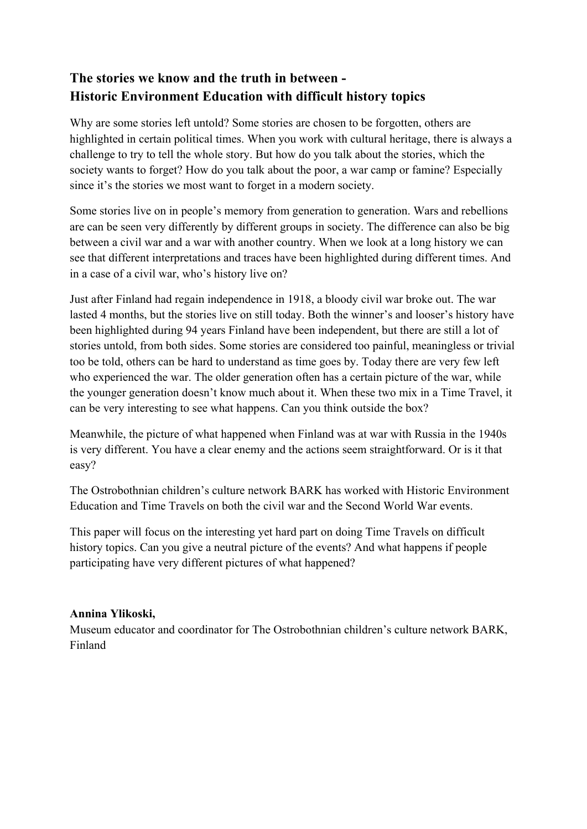# **The stories we know and the truth in between - Historic Environment Education with difficult history topics**

Why are some stories left untold? Some stories are chosen to be forgotten, others are highlighted in certain political times. When you work with cultural heritage, there is always a challenge to try to tell the whole story. But how do you talk about the stories, which the society wants to forget? How do you talk about the poor, a war camp or famine? Especially since it's the stories we most want to forget in a modern society.

Some stories live on in people's memory from generation to generation. Wars and rebellions are can be seen very differently by different groups in society. The difference can also be big between a civil war and a war with another country. When we look at a long history we can see that different interpretations and traces have been highlighted during different times. And in a case of a civil war, who's history live on?

Just after Finland had regain independence in 1918, a bloody civil war broke out. The war lasted 4 months, but the stories live on still today. Both the winner's and looser's history have been highlighted during 94 years Finland have been independent, but there are still a lot of stories untold, from both sides. Some stories are considered too painful, meaningless or trivial too be told, others can be hard to understand as time goes by. Today there are very few left who experienced the war. The older generation often has a certain picture of the war, while the younger generation doesn't know much about it. When these two mix in a Time Travel, it can be very interesting to see what happens. Can you think outside the box?

Meanwhile, the picture of what happened when Finland was at war with Russia in the 1940s is very different. You have a clear enemy and the actions seem straightforward. Or is it that easy?

The Ostrobothnian children's culture network BARK has worked with Historic Environment Education and Time Travels on both the civil war and the Second World War events.

This paper will focus on the interesting yet hard part on doing Time Travels on difficult history topics. Can you give a neutral picture of the events? And what happens if people participating have very different pictures of what happened?

#### **Annina Ylikoski,**

Museum educator and coordinator for The Ostrobothnian children's culture network BARK, Finland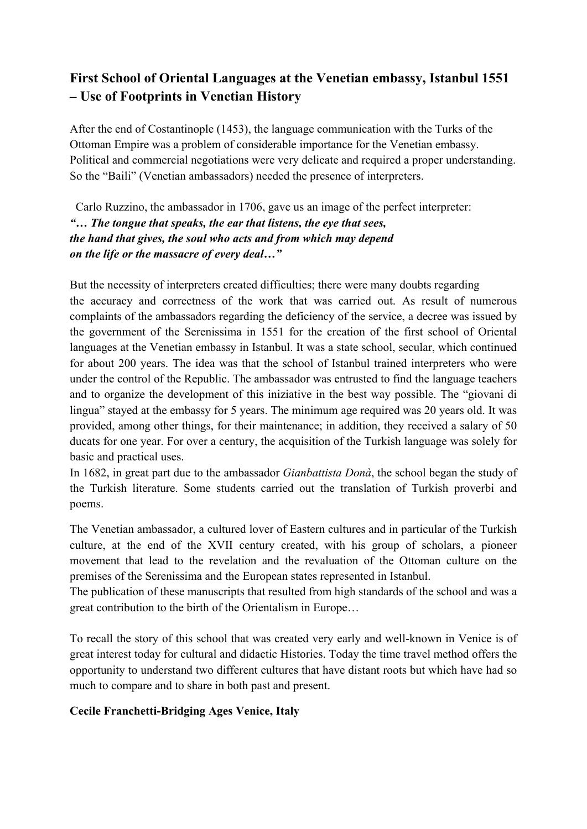# **First School of Oriental Languages at the Venetian embassy, Istanbul 1551 – Use of Footprints in Venetian History**

After the end of Costantinople (1453), the language communication with the Turks of the Ottoman Empire was a problem of considerable importance for the Venetian embassy. Political and commercial negotiations were very delicate and required a proper understanding. So the "Baili" (Venetian ambassadors) needed the presence of interpreters.

 Carlo Ruzzino, the ambassador in 1706, gave us an image of the perfect interpreter: *"… The tongue that speaks, the ear that listens, the eye that sees, the hand that gives, the soul who acts and from which may depend on the life or the massacre of every deal…"* 

But the necessity of interpreters created difficulties; there were many doubts regarding the accuracy and correctness of the work that was carried out. As result of numerous complaints of the ambassadors regarding the deficiency of the service, a decree was issued by the government of the Serenissima in 1551 for the creation of the first school of Oriental languages at the Venetian embassy in Istanbul. It was a state school, secular, which continued for about 200 years. The idea was that the school of Istanbul trained interpreters who were under the control of the Republic. The ambassador was entrusted to find the language teachers and to organize the development of this iniziative in the best way possible. The "giovani di lingua" stayed at the embassy for 5 years. The minimum age required was 20 years old. It was provided, among other things, for their maintenance; in addition, they received a salary of 50 ducats for one year. For over a century, the acquisition of the Turkish language was solely for basic and practical uses.

In 1682, in great part due to the ambassador *Gianbattista Donà*, the school began the study of the Turkish literature. Some students carried out the translation of Turkish proverbi and poems.

The Venetian ambassador, a cultured lover of Eastern cultures and in particular of the Turkish culture, at the end of the XVII century created, with his group of scholars, a pioneer movement that lead to the revelation and the revaluation of the Ottoman culture on the premises of the Serenissima and the European states represented in Istanbul.

The publication of these manuscripts that resulted from high standards of the school and was a great contribution to the birth of the Orientalism in Europe…

To recall the story of this school that was created very early and well-known in Venice is of great interest today for cultural and didactic Histories. Today the time travel method offers the opportunity to understand two different cultures that have distant roots but which have had so much to compare and to share in both past and present.

#### **Cecile Franchetti-Bridging Ages Venice, Italy**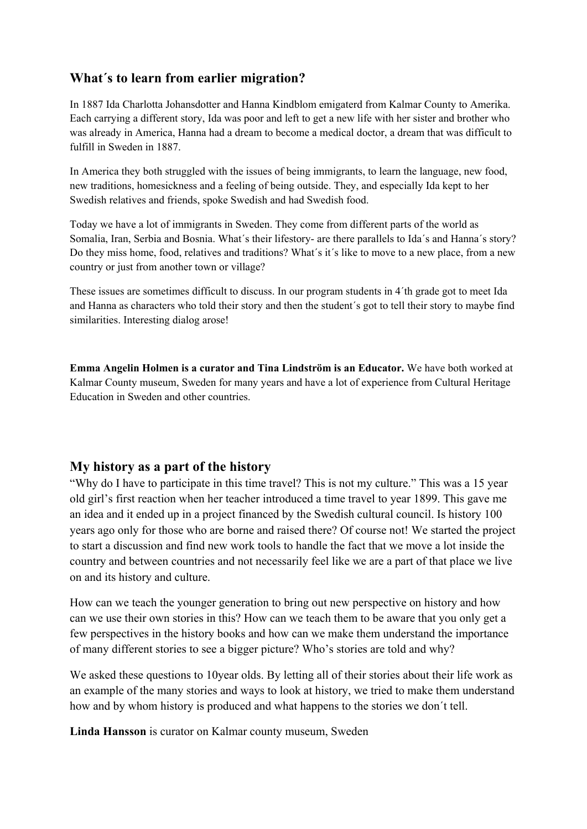### **What´s to learn from earlier migration?**

In 1887 Ida Charlotta Johansdotter and Hanna Kindblom emigaterd from Kalmar County to Amerika. Each carrying a different story, Ida was poor and left to get a new life with her sister and brother who was already in America, Hanna had a dream to become a medical doctor, a dream that was difficult to fulfill in Sweden in 1887.

In America they both struggled with the issues of being immigrants, to learn the language, new food, new traditions, homesickness and a feeling of being outside. They, and especially Ida kept to her Swedish relatives and friends, spoke Swedish and had Swedish food.

Today we have a lot of immigrants in Sweden. They come from different parts of the world as Somalia, Iran, Serbia and Bosnia. What´s their lifestory- are there parallels to Ida´s and Hanna´s story? Do they miss home, food, relatives and traditions? What´s it´s like to move to a new place, from a new country or just from another town or village?

These issues are sometimes difficult to discuss. In our program students in 4´th grade got to meet Ida and Hanna as characters who told their story and then the student´s got to tell their story to maybe find similarities. Interesting dialog arose!

**Emma Angelin Holmen is a curator and Tina Lindström is an Educator.** We have both worked at Kalmar County museum, Sweden for many years and have a lot of experience from Cultural Heritage Education in Sweden and other countries.

### **My history as a part of the history**

"Why do I have to participate in this time travel? This is not my culture." This was a 15 year old girl's first reaction when her teacher introduced a time travel to year 1899. This gave me an idea and it ended up in a project financed by the Swedish cultural council. Is history 100 years ago only for those who are borne and raised there? Of course not! We started the project to start a discussion and find new work tools to handle the fact that we move a lot inside the country and between countries and not necessarily feel like we are a part of that place we live on and its history and culture.

How can we teach the younger generation to bring out new perspective on history and how can we use their own stories in this? How can we teach them to be aware that you only get a few perspectives in the history books and how can we make them understand the importance of many different stories to see a bigger picture? Who's stories are told and why?

We asked these questions to 10year olds. By letting all of their stories about their life work as an example of the many stories and ways to look at history, we tried to make them understand how and by whom history is produced and what happens to the stories we don´t tell.

**Linda Hansson** is curator on Kalmar county museum, Sweden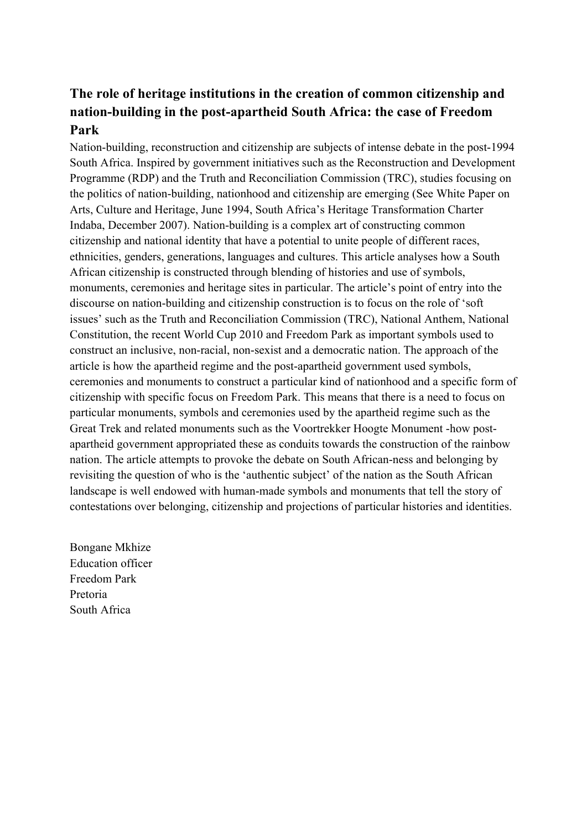# **The role of heritage institutions in the creation of common citizenship and nation-building in the post-apartheid South Africa: the case of Freedom Park**

Nation-building, reconstruction and citizenship are subjects of intense debate in the post-1994 South Africa. Inspired by government initiatives such as the Reconstruction and Development Programme (RDP) and the Truth and Reconciliation Commission (TRC), studies focusing on the politics of nation-building, nationhood and citizenship are emerging (See White Paper on Arts, Culture and Heritage, June 1994, South Africa's Heritage Transformation Charter Indaba, December 2007). Nation-building is a complex art of constructing common citizenship and national identity that have a potential to unite people of different races, ethnicities, genders, generations, languages and cultures. This article analyses how a South African citizenship is constructed through blending of histories and use of symbols, monuments, ceremonies and heritage sites in particular. The article's point of entry into the discourse on nation-building and citizenship construction is to focus on the role of 'soft issues' such as the Truth and Reconciliation Commission (TRC), National Anthem, National Constitution, the recent World Cup 2010 and Freedom Park as important symbols used to construct an inclusive, non-racial, non-sexist and a democratic nation. The approach of the article is how the apartheid regime and the post-apartheid government used symbols, ceremonies and monuments to construct a particular kind of nationhood and a specific form of citizenship with specific focus on Freedom Park. This means that there is a need to focus on particular monuments, symbols and ceremonies used by the apartheid regime such as the Great Trek and related monuments such as the Voortrekker Hoogte Monument -how postapartheid government appropriated these as conduits towards the construction of the rainbow nation. The article attempts to provoke the debate on South African-ness and belonging by revisiting the question of who is the 'authentic subject' of the nation as the South African landscape is well endowed with human-made symbols and monuments that tell the story of contestations over belonging, citizenship and projections of particular histories and identities.

Bongane Mkhize Education officer Freedom Park Pretoria South Africa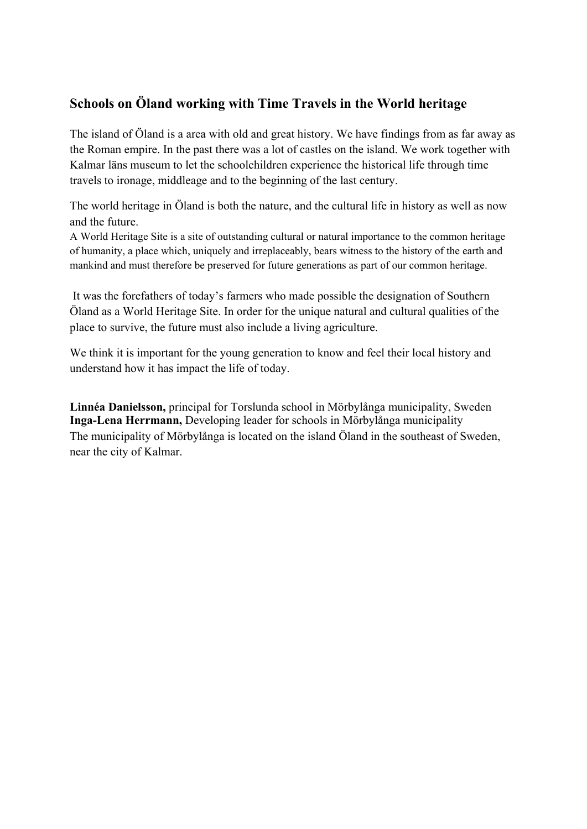## **Schools on Öland working with Time Travels in the World heritage**

The island of Öland is a area with old and great history. We have findings from as far away as the Roman empire. In the past there was a lot of castles on the island. We work together with Kalmar läns museum to let the schoolchildren experience the historical life through time travels to ironage, middleage and to the beginning of the last century.

The world heritage in Öland is both the nature, and the cultural life in history as well as now and the future.

A World Heritage Site is a site of outstanding cultural or natural importance to the common heritage of humanity, a place which, uniquely and irreplaceably, bears witness to the history of the earth and mankind and must therefore be preserved for future generations as part of our common heritage.

 It was the forefathers of today's farmers who made possible the designation of Southern Öland as a World Heritage Site. In order for the unique natural and cultural qualities of the place to survive, the future must also include a living agriculture.

We think it is important for the young generation to know and feel their local history and understand how it has impact the life of today.

**Linnéa Danielsson,** principal for Torslunda school in Mörbylånga municipality, Sweden **Inga-Lena Herrmann,** Developing leader for schools in Mörbylånga municipality The municipality of Mörbylånga is located on the island Öland in the southeast of Sweden, near the city of Kalmar.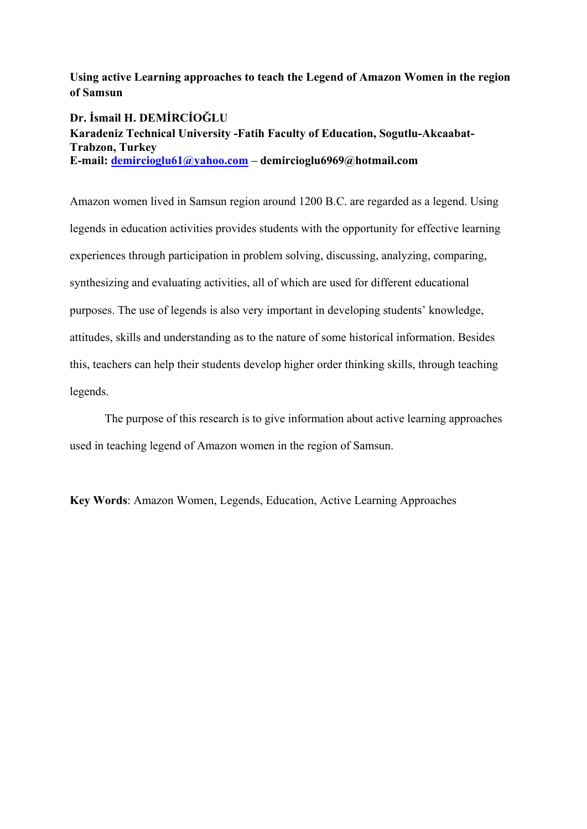**Using active Learning approaches to teach the Legend of Amazon Women in the region of Samsun** 

**Dr. İsmail H. DEMİRCİOĞLU Karadeniz Technical University -Fatih Faculty of Education, Sogutlu-Akcaabat-Trabzon, Turkey E-mail: demircioglu61@yahoo.com – demircioglu6969@hotmail.com** 

Amazon women lived in Samsun region around 1200 B.C. are regarded as a legend. Using legends in education activities provides students with the opportunity for effective learning experiences through participation in problem solving, discussing, analyzing, comparing, synthesizing and evaluating activities, all of which are used for different educational purposes. The use of legends is also very important in developing students' knowledge, attitudes, skills and understanding as to the nature of some historical information. Besides this, teachers can help their students develop higher order thinking skills, through teaching legends.

The purpose of this research is to give information about active learning approaches used in teaching legend of Amazon women in the region of Samsun.

**Key Words**: Amazon Women, Legends, Education, Active Learning Approaches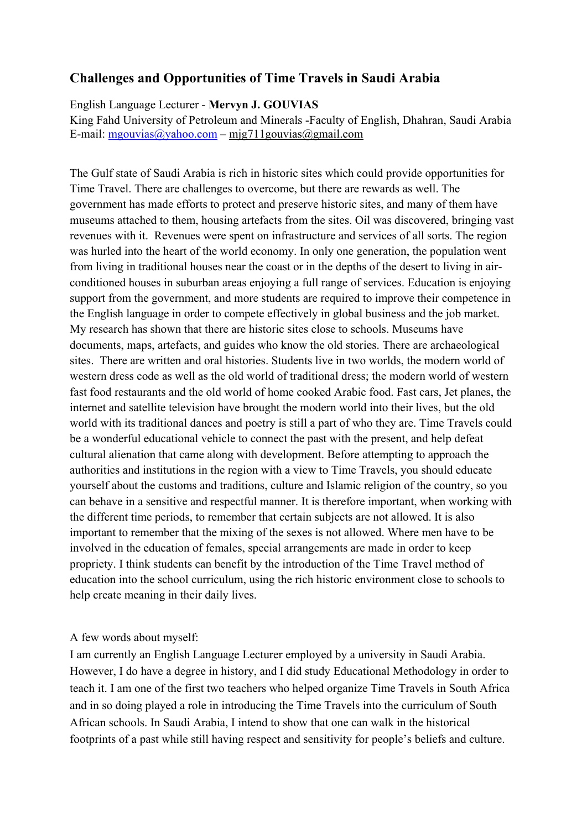## **Challenges and Opportunities of Time Travels in Saudi Arabia**

English Language Lecturer - **Mervyn J. GOUVIAS** 

King Fahd University of Petroleum and Minerals -Faculty of English, Dhahran, Saudi Arabia E-mail: mgouvias@yahoo.com – mjg711gouvias@gmail.com

The Gulf state of Saudi Arabia is rich in historic sites which could provide opportunities for Time Travel. There are challenges to overcome, but there are rewards as well. The government has made efforts to protect and preserve historic sites, and many of them have museums attached to them, housing artefacts from the sites. Oil was discovered, bringing vast revenues with it. Revenues were spent on infrastructure and services of all sorts. The region was hurled into the heart of the world economy. In only one generation, the population went from living in traditional houses near the coast or in the depths of the desert to living in airconditioned houses in suburban areas enjoying a full range of services. Education is enjoying support from the government, and more students are required to improve their competence in the English language in order to compete effectively in global business and the job market. My research has shown that there are historic sites close to schools. Museums have documents, maps, artefacts, and guides who know the old stories. There are archaeological sites. There are written and oral histories. Students live in two worlds, the modern world of western dress code as well as the old world of traditional dress; the modern world of western fast food restaurants and the old world of home cooked Arabic food. Fast cars, Jet planes, the internet and satellite television have brought the modern world into their lives, but the old world with its traditional dances and poetry is still a part of who they are. Time Travels could be a wonderful educational vehicle to connect the past with the present, and help defeat cultural alienation that came along with development. Before attempting to approach the authorities and institutions in the region with a view to Time Travels, you should educate yourself about the customs and traditions, culture and Islamic religion of the country, so you can behave in a sensitive and respectful manner. It is therefore important, when working with the different time periods, to remember that certain subjects are not allowed. It is also important to remember that the mixing of the sexes is not allowed. Where men have to be involved in the education of females, special arrangements are made in order to keep propriety. I think students can benefit by the introduction of the Time Travel method of education into the school curriculum, using the rich historic environment close to schools to help create meaning in their daily lives.

#### A few words about myself:

I am currently an English Language Lecturer employed by a university in Saudi Arabia. However, I do have a degree in history, and I did study Educational Methodology in order to teach it. I am one of the first two teachers who helped organize Time Travels in South Africa and in so doing played a role in introducing the Time Travels into the curriculum of South African schools. In Saudi Arabia, I intend to show that one can walk in the historical footprints of a past while still having respect and sensitivity for people's beliefs and culture.